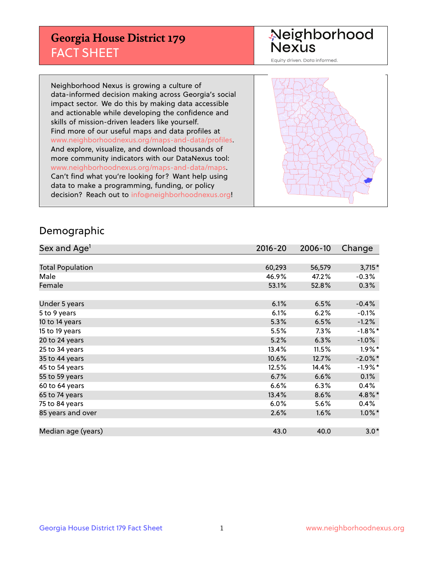## **Georgia House District 179** FACT SHEET

# Neighborhood<br>Nexus

Equity driven. Data informed.

Neighborhood Nexus is growing a culture of data-informed decision making across Georgia's social impact sector. We do this by making data accessible and actionable while developing the confidence and skills of mission-driven leaders like yourself. Find more of our useful maps and data profiles at www.neighborhoodnexus.org/maps-and-data/profiles. And explore, visualize, and download thousands of more community indicators with our DataNexus tool: www.neighborhoodnexus.org/maps-and-data/maps. Can't find what you're looking for? Want help using data to make a programming, funding, or policy decision? Reach out to [info@neighborhoodnexus.org!](mailto:info@neighborhoodnexus.org)



### Demographic

| Sex and Age <sup>1</sup> | $2016 - 20$ | 2006-10 | Change               |
|--------------------------|-------------|---------|----------------------|
|                          |             |         |                      |
| <b>Total Population</b>  | 60,293      | 56,579  | $3,715*$             |
| Male                     | 46.9%       | 47.2%   | $-0.3%$              |
| Female                   | 53.1%       | 52.8%   | 0.3%                 |
|                          |             |         |                      |
| Under 5 years            | 6.1%        | 6.5%    | $-0.4%$              |
| 5 to 9 years             | 6.1%        | 6.2%    | $-0.1%$              |
| 10 to 14 years           | 5.3%        | 6.5%    | $-1.2%$              |
| 15 to 19 years           | 5.5%        | 7.3%    | $-1.8\%$ *           |
| 20 to 24 years           | 5.2%        | 6.3%    | $-1.0\%$             |
| 25 to 34 years           | 13.4%       | 11.5%   | $1.9\%$ <sup>*</sup> |
| 35 to 44 years           | 10.6%       | 12.7%   | $-2.0\%$ *           |
| 45 to 54 years           | 12.5%       | 14.4%   | $-1.9%$ *            |
| 55 to 59 years           | 6.7%        | 6.6%    | 0.1%                 |
| 60 to 64 years           | 6.6%        | 6.3%    | $0.4\%$              |
| 65 to 74 years           | 13.4%       | 8.6%    | 4.8%*                |
| 75 to 84 years           | 6.0%        | 5.6%    | 0.4%                 |
| 85 years and over        | 2.6%        | 1.6%    | $1.0\%$ *            |
|                          |             |         |                      |
| Median age (years)       | 43.0        | 40.0    | $3.0*$               |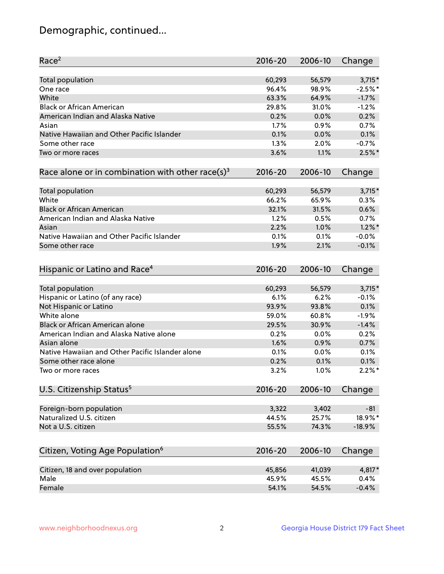## Demographic, continued...

| Race <sup>2</sup>                                            | $2016 - 20$ | 2006-10 | Change    |
|--------------------------------------------------------------|-------------|---------|-----------|
| <b>Total population</b>                                      | 60,293      | 56,579  | $3,715*$  |
| One race                                                     | 96.4%       | 98.9%   | $-2.5%$ * |
| White                                                        | 63.3%       | 64.9%   | $-1.7%$   |
| <b>Black or African American</b>                             | 29.8%       | 31.0%   | $-1.2%$   |
| American Indian and Alaska Native                            | 0.2%        | 0.0%    | 0.2%      |
| Asian                                                        | 1.7%        | 0.9%    | 0.7%      |
| Native Hawaiian and Other Pacific Islander                   | 0.1%        | 0.0%    | 0.1%      |
| Some other race                                              | 1.3%        | 2.0%    | $-0.7%$   |
| Two or more races                                            | 3.6%        | 1.1%    | $2.5%$ *  |
| Race alone or in combination with other race(s) <sup>3</sup> | $2016 - 20$ | 2006-10 | Change    |
| Total population                                             | 60,293      | 56,579  | $3,715*$  |
| White                                                        | 66.2%       | 65.9%   | 0.3%      |
| <b>Black or African American</b>                             | 32.1%       | 31.5%   | 0.6%      |
| American Indian and Alaska Native                            | 1.2%        | 0.5%    | 0.7%      |
| Asian                                                        | 2.2%        | 1.0%    | $1.2\%$ * |
| Native Hawaiian and Other Pacific Islander                   | 0.1%        | 0.1%    | $-0.0%$   |
| Some other race                                              | 1.9%        | 2.1%    | $-0.1%$   |
| Hispanic or Latino and Race <sup>4</sup>                     | $2016 - 20$ | 2006-10 | Change    |
| <b>Total population</b>                                      | 60,293      | 56,579  | $3,715*$  |
| Hispanic or Latino (of any race)                             | 6.1%        | 6.2%    | $-0.1%$   |
| Not Hispanic or Latino                                       | 93.9%       | 93.8%   | 0.1%      |
| White alone                                                  | 59.0%       | 60.8%   | $-1.9%$   |
| <b>Black or African American alone</b>                       | 29.5%       | 30.9%   | $-1.4%$   |
| American Indian and Alaska Native alone                      | 0.2%        | 0.0%    | 0.2%      |
| Asian alone                                                  | 1.6%        | 0.9%    | 0.7%      |
| Native Hawaiian and Other Pacific Islander alone             | 0.1%        | 0.0%    | 0.1%      |
| Some other race alone                                        | 0.2%        | 0.1%    | 0.1%      |
| Two or more races                                            | 3.2%        | 1.0%    | $2.2\%$ * |
| U.S. Citizenship Status <sup>5</sup>                         | 2016-20     | 2006-10 | Change    |
| Foreign-born population                                      | 3,322       | 3,402   | $-81$     |
| Naturalized U.S. citizen                                     | 44.5%       | 25.7%   | 18.9%*    |
| Not a U.S. citizen                                           | 55.5%       | 74.3%   | $-18.9%$  |
|                                                              |             |         |           |
| Citizen, Voting Age Population <sup>6</sup>                  | 2016-20     | 2006-10 | Change    |
| Citizen, 18 and over population                              | 45,856      | 41,039  | 4,817*    |
| Male                                                         | 45.9%       | 45.5%   | 0.4%      |
| Female                                                       | 54.1%       | 54.5%   | $-0.4%$   |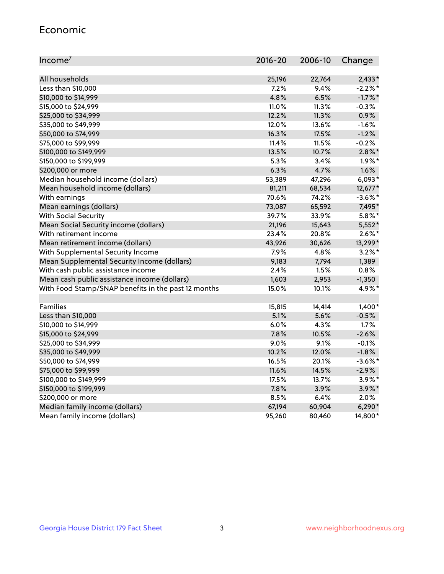#### Economic

| Income <sup>7</sup>                                 | 2016-20 | 2006-10 | Change     |
|-----------------------------------------------------|---------|---------|------------|
|                                                     |         |         |            |
| All households                                      | 25,196  | 22,764  | $2,433*$   |
| Less than \$10,000                                  | 7.2%    | 9.4%    | $-2.2%$ *  |
| \$10,000 to \$14,999                                | 4.8%    | 6.5%    | $-1.7\%$ * |
| \$15,000 to \$24,999                                | 11.0%   | 11.3%   | $-0.3%$    |
| \$25,000 to \$34,999                                | 12.2%   | 11.3%   | 0.9%       |
| \$35,000 to \$49,999                                | 12.0%   | 13.6%   | $-1.6%$    |
| \$50,000 to \$74,999                                | 16.3%   | 17.5%   | $-1.2%$    |
| \$75,000 to \$99,999                                | 11.4%   | 11.5%   | $-0.2%$    |
| \$100,000 to \$149,999                              | 13.5%   | 10.7%   | $2.8\%$ *  |
| \$150,000 to \$199,999                              | 5.3%    | 3.4%    | $1.9\%$ *  |
| \$200,000 or more                                   | 6.3%    | 4.7%    | 1.6%       |
| Median household income (dollars)                   | 53,389  | 47,296  | $6,093*$   |
| Mean household income (dollars)                     | 81,211  | 68,534  | 12,677*    |
| With earnings                                       | 70.6%   | 74.2%   | $-3.6\%$ * |
| Mean earnings (dollars)                             | 73,087  | 65,592  | 7,495*     |
| <b>With Social Security</b>                         | 39.7%   | 33.9%   | $5.8\%$ *  |
| Mean Social Security income (dollars)               | 21,196  | 15,643  | $5,552*$   |
| With retirement income                              | 23.4%   | 20.8%   | $2.6\%$ *  |
| Mean retirement income (dollars)                    | 43,926  | 30,626  | 13,299*    |
| With Supplemental Security Income                   | 7.9%    | 4.8%    | $3.2\%$ *  |
| Mean Supplemental Security Income (dollars)         | 9,183   | 7,794   | 1,389      |
| With cash public assistance income                  | 2.4%    | 1.5%    | 0.8%       |
| Mean cash public assistance income (dollars)        | 1,603   | 2,953   | $-1,350$   |
| With Food Stamp/SNAP benefits in the past 12 months | 15.0%   | 10.1%   | 4.9%*      |
|                                                     |         |         |            |
| Families                                            | 15,815  | 14,414  | $1,400*$   |
| Less than \$10,000                                  | 5.1%    | 5.6%    | $-0.5%$    |
| \$10,000 to \$14,999                                | 6.0%    | 4.3%    | 1.7%       |
| \$15,000 to \$24,999                                | 7.8%    | 10.5%   | $-2.6%$    |
| \$25,000 to \$34,999                                | 9.0%    | 9.1%    | $-0.1%$    |
| \$35,000 to \$49,999                                | 10.2%   | 12.0%   | $-1.8%$    |
| \$50,000 to \$74,999                                | 16.5%   | 20.1%   | $-3.6\%$ * |
| \$75,000 to \$99,999                                | 11.6%   | 14.5%   | $-2.9%$    |
| \$100,000 to \$149,999                              | 17.5%   | 13.7%   | $3.9\%$ *  |
| \$150,000 to \$199,999                              | 7.8%    | 3.9%    | 3.9%*      |
| \$200,000 or more                                   | 8.5%    | 6.4%    | 2.0%       |
| Median family income (dollars)                      | 67,194  | 60,904  | $6,290*$   |
| Mean family income (dollars)                        | 95,260  | 80,460  | 14,800*    |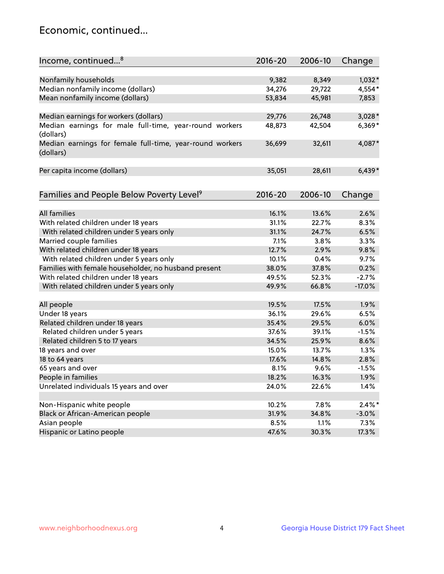## Economic, continued...

| Income, continued <sup>8</sup>                                        | $2016 - 20$ | 2006-10 | Change    |
|-----------------------------------------------------------------------|-------------|---------|-----------|
|                                                                       |             |         |           |
| Nonfamily households                                                  | 9,382       | 8,349   | $1,032*$  |
| Median nonfamily income (dollars)                                     | 34,276      | 29,722  | 4,554*    |
| Mean nonfamily income (dollars)                                       | 53,834      | 45,981  | 7,853     |
| Median earnings for workers (dollars)                                 | 29,776      | 26,748  | $3,028*$  |
| Median earnings for male full-time, year-round workers                | 48,873      | 42,504  | $6,369*$  |
| (dollars)                                                             |             |         |           |
| Median earnings for female full-time, year-round workers<br>(dollars) | 36,699      | 32,611  | 4,087*    |
| Per capita income (dollars)                                           | 35,051      | 28,611  | $6,439*$  |
|                                                                       |             |         |           |
| Families and People Below Poverty Level <sup>9</sup>                  | $2016 - 20$ | 2006-10 | Change    |
|                                                                       |             |         |           |
| <b>All families</b>                                                   | 16.1%       | 13.6%   | 2.6%      |
| With related children under 18 years                                  | 31.1%       | 22.7%   | 8.3%      |
| With related children under 5 years only                              | 31.1%       | 24.7%   | 6.5%      |
| Married couple families                                               | 7.1%        | 3.8%    | 3.3%      |
| With related children under 18 years                                  | 12.7%       | 2.9%    | 9.8%      |
| With related children under 5 years only                              | 10.1%       | 0.4%    | 9.7%      |
| Families with female householder, no husband present                  | 38.0%       | 37.8%   | 0.2%      |
| With related children under 18 years                                  | 49.5%       | 52.3%   | $-2.7%$   |
| With related children under 5 years only                              | 49.9%       | 66.8%   | $-17.0%$  |
| All people                                                            | 19.5%       | 17.5%   | 1.9%      |
| Under 18 years                                                        | 36.1%       | 29.6%   | 6.5%      |
| Related children under 18 years                                       | 35.4%       | 29.5%   | 6.0%      |
| Related children under 5 years                                        | 37.6%       | 39.1%   | $-1.5%$   |
| Related children 5 to 17 years                                        | 34.5%       | 25.9%   | 8.6%      |
| 18 years and over                                                     | 15.0%       | 13.7%   | 1.3%      |
| 18 to 64 years                                                        | 17.6%       | 14.8%   | 2.8%      |
| 65 years and over                                                     | 8.1%        | 9.6%    | $-1.5%$   |
| People in families                                                    | 18.2%       | 16.3%   | 1.9%      |
| Unrelated individuals 15 years and over                               | 24.0%       | 22.6%   | 1.4%      |
|                                                                       |             |         |           |
| Non-Hispanic white people                                             | 10.2%       | 7.8%    | $2.4\%$ * |
| Black or African-American people                                      | 31.9%       | 34.8%   | $-3.0%$   |
| Asian people                                                          | 8.5%        | 1.1%    | 7.3%      |
| Hispanic or Latino people                                             | 47.6%       | 30.3%   | 17.3%     |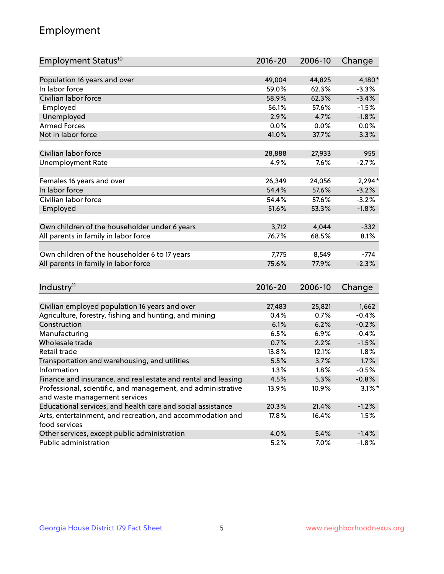## Employment

| Employment Status <sup>10</sup>                                             | $2016 - 20$ | 2006-10 | Change    |
|-----------------------------------------------------------------------------|-------------|---------|-----------|
|                                                                             |             |         |           |
| Population 16 years and over                                                | 49,004      | 44,825  | 4,180*    |
| In labor force                                                              | 59.0%       | 62.3%   | $-3.3%$   |
| Civilian labor force                                                        | 58.9%       | 62.3%   | $-3.4%$   |
| Employed                                                                    | 56.1%       | 57.6%   | $-1.5%$   |
| Unemployed                                                                  | 2.9%        | 4.7%    | $-1.8%$   |
| <b>Armed Forces</b>                                                         | 0.0%        | 0.0%    | 0.0%      |
| Not in labor force                                                          | 41.0%       | 37.7%   | 3.3%      |
|                                                                             |             |         |           |
| Civilian labor force                                                        | 28,888      | 27,933  | 955       |
| <b>Unemployment Rate</b>                                                    | 4.9%        | 7.6%    | $-2.7%$   |
| Females 16 years and over                                                   | 26,349      | 24,056  | $2,294*$  |
| In labor force                                                              | 54.4%       | 57.6%   | $-3.2%$   |
| Civilian labor force                                                        | 54.4%       | 57.6%   | $-3.2%$   |
| Employed                                                                    | 51.6%       | 53.3%   | $-1.8%$   |
|                                                                             |             |         |           |
| Own children of the householder under 6 years                               | 3,712       | 4,044   | $-332$    |
| All parents in family in labor force                                        | 76.7%       | 68.5%   | 8.1%      |
|                                                                             |             |         |           |
| Own children of the householder 6 to 17 years                               | 7,775       | 8,549   | $-774$    |
| All parents in family in labor force                                        | 75.6%       | 77.9%   | $-2.3%$   |
|                                                                             |             |         |           |
| Industry <sup>11</sup>                                                      | $2016 - 20$ | 2006-10 | Change    |
|                                                                             |             |         |           |
| Civilian employed population 16 years and over                              | 27,483      | 25,821  | 1,662     |
| Agriculture, forestry, fishing and hunting, and mining                      | 0.4%        | 0.7%    | $-0.4%$   |
| Construction                                                                | 6.1%        | 6.2%    | $-0.2%$   |
| Manufacturing                                                               | 6.5%        | 6.9%    | $-0.4%$   |
| Wholesale trade                                                             | 0.7%        | 2.2%    | $-1.5%$   |
| Retail trade                                                                | 13.8%       | 12.1%   | 1.8%      |
| Transportation and warehousing, and utilities                               | 5.5%        | 3.7%    | 1.7%      |
| Information                                                                 | 1.3%        | 1.8%    | $-0.5%$   |
| Finance and insurance, and real estate and rental and leasing               | 4.5%        | 5.3%    | $-0.8%$   |
| Professional, scientific, and management, and administrative                | 13.9%       | 10.9%   | $3.1\%$ * |
| and waste management services                                               |             |         |           |
| Educational services, and health care and social assistance                 | 20.3%       | 21.4%   | $-1.2%$   |
| Arts, entertainment, and recreation, and accommodation and<br>food services | 17.8%       | 16.4%   | 1.5%      |
| Other services, except public administration                                | 4.0%        | 5.4%    | $-1.4%$   |
| Public administration                                                       | 5.2%        | 7.0%    | $-1.8%$   |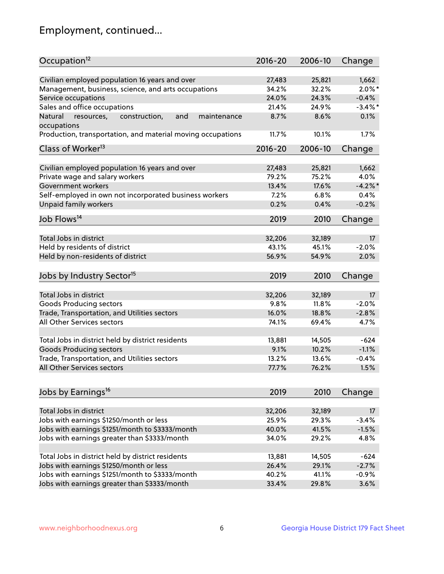## Employment, continued...

| Occupation <sup>12</sup>                                    | $2016 - 20$ | 2006-10 | Change     |
|-------------------------------------------------------------|-------------|---------|------------|
| Civilian employed population 16 years and over              | 27,483      | 25,821  | 1,662      |
| Management, business, science, and arts occupations         | 34.2%       | 32.2%   | $2.0\%$ *  |
| Service occupations                                         | 24.0%       | 24.3%   | $-0.4%$    |
| Sales and office occupations                                | 21.4%       | 24.9%   | $-3.4\%$ * |
| and<br>maintenance<br>Natural                               | 8.7%        | 8.6%    | 0.1%       |
| resources,<br>construction,<br>occupations                  |             |         |            |
| Production, transportation, and material moving occupations | 11.7%       | 10.1%   | 1.7%       |
| Class of Worker <sup>13</sup>                               | $2016 - 20$ | 2006-10 | Change     |
|                                                             |             |         |            |
| Civilian employed population 16 years and over              | 27,483      | 25,821  | 1,662      |
| Private wage and salary workers                             | 79.2%       | 75.2%   | 4.0%       |
| Government workers                                          | 13.4%       | 17.6%   | $-4.2%$    |
| Self-employed in own not incorporated business workers      | 7.2%        | 6.8%    | 0.4%       |
| Unpaid family workers                                       | 0.2%        | 0.4%    | $-0.2%$    |
| Job Flows <sup>14</sup>                                     | 2019        | 2010    | Change     |
|                                                             |             |         |            |
| Total Jobs in district                                      | 32,206      | 32,189  | 17         |
| Held by residents of district                               | 43.1%       | 45.1%   | $-2.0%$    |
| Held by non-residents of district                           | 56.9%       | 54.9%   | 2.0%       |
| Jobs by Industry Sector <sup>15</sup>                       | 2019        | 2010    | Change     |
|                                                             |             |         |            |
| Total Jobs in district                                      | 32,206      | 32,189  | 17         |
| Goods Producing sectors                                     | 9.8%        | 11.8%   | $-2.0%$    |
| Trade, Transportation, and Utilities sectors                | 16.0%       | 18.8%   | $-2.8%$    |
| All Other Services sectors                                  | 74.1%       | 69.4%   | 4.7%       |
| Total Jobs in district held by district residents           | 13,881      | 14,505  | $-624$     |
| <b>Goods Producing sectors</b>                              | 9.1%        | 10.2%   | $-1.1%$    |
| Trade, Transportation, and Utilities sectors                | 13.2%       | 13.6%   | $-0.4%$    |
| All Other Services sectors                                  | 77.7%       | 76.2%   | 1.5%       |
|                                                             |             |         |            |
| Jobs by Earnings <sup>16</sup>                              | 2019        | 2010    | Change     |
|                                                             |             |         |            |
| Total Jobs in district                                      | 32,206      | 32,189  | 17         |
| Jobs with earnings \$1250/month or less                     | 25.9%       | 29.3%   | $-3.4%$    |
| Jobs with earnings \$1251/month to \$3333/month             | 40.0%       | 41.5%   | $-1.5%$    |
| Jobs with earnings greater than \$3333/month                | 34.0%       | 29.2%   | 4.8%       |
| Total Jobs in district held by district residents           | 13,881      | 14,505  | $-624$     |
| Jobs with earnings \$1250/month or less                     | 26.4%       | 29.1%   | $-2.7%$    |
| Jobs with earnings \$1251/month to \$3333/month             | 40.2%       | 41.1%   | $-0.9%$    |
| Jobs with earnings greater than \$3333/month                | 33.4%       | 29.8%   | 3.6%       |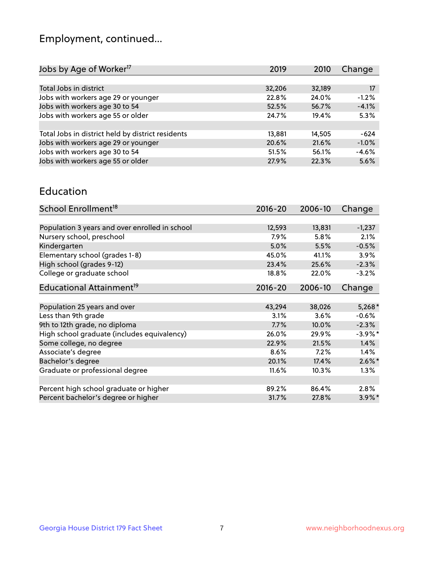## Employment, continued...

| 2019   | 2010   | Change  |
|--------|--------|---------|
|        |        |         |
| 32,206 | 32,189 | 17      |
| 22.8%  | 24.0%  | $-1.2%$ |
| 52.5%  | 56.7%  | $-4.1%$ |
| 24.7%  | 19.4%  | 5.3%    |
|        |        |         |
| 13,881 | 14,505 | $-624$  |
| 20.6%  | 21.6%  | $-1.0%$ |
| 51.5%  | 56.1%  | $-4.6%$ |
| 27.9%  | 22.3%  | 5.6%    |
|        |        |         |

#### Education

| School Enrollment <sup>18</sup>                | $2016 - 20$ | 2006-10 | Change     |
|------------------------------------------------|-------------|---------|------------|
|                                                |             |         |            |
| Population 3 years and over enrolled in school | 12,593      | 13,831  | $-1,237$   |
| Nursery school, preschool                      | 7.9%        | 5.8%    | 2.1%       |
| Kindergarten                                   | 5.0%        | 5.5%    | $-0.5%$    |
| Elementary school (grades 1-8)                 | 45.0%       | 41.1%   | 3.9%       |
| High school (grades 9-12)                      | 23.4%       | 25.6%   | $-2.3%$    |
| College or graduate school                     | 18.8%       | 22.0%   | $-3.2%$    |
| Educational Attainment <sup>19</sup>           | $2016 - 20$ | 2006-10 | Change     |
|                                                |             |         |            |
| Population 25 years and over                   | 43,294      | 38,026  | $5,268*$   |
| Less than 9th grade                            | 3.1%        | 3.6%    | $-0.6%$    |
| 9th to 12th grade, no diploma                  | 7.7%        | 10.0%   | $-2.3%$    |
| High school graduate (includes equivalency)    | 26.0%       | 29.9%   | $-3.9\%$ * |
| Some college, no degree                        | 22.9%       | 21.5%   | 1.4%       |
| Associate's degree                             | 8.6%        | 7.2%    | 1.4%       |
| Bachelor's degree                              | 20.1%       | 17.4%   | $2.6\%$ *  |
| Graduate or professional degree                | 11.6%       | 10.3%   | $1.3\%$    |
|                                                |             |         |            |
| Percent high school graduate or higher         | 89.2%       | 86.4%   | 2.8%       |
| Percent bachelor's degree or higher            | 31.7%       | 27.8%   | $3.9\%$ *  |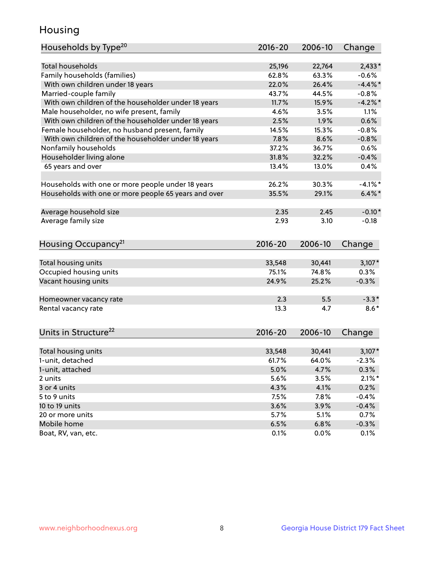## Housing

| Households by Type <sup>20</sup>                     | 2016-20      | 2006-10      | Change          |
|------------------------------------------------------|--------------|--------------|-----------------|
|                                                      |              |              |                 |
| <b>Total households</b>                              | 25,196       | 22,764       | $2,433*$        |
| Family households (families)                         | 62.8%        | 63.3%        | $-0.6%$         |
| With own children under 18 years                     | 22.0%        | 26.4%        | $-4.4\%$ *      |
| Married-couple family                                | 43.7%        | 44.5%        | $-0.8%$         |
| With own children of the householder under 18 years  | 11.7%        | 15.9%        | $-4.2\%$ *      |
| Male householder, no wife present, family            | 4.6%         | 3.5%         | 1.1%            |
| With own children of the householder under 18 years  | 2.5%         | 1.9%         | 0.6%            |
| Female householder, no husband present, family       | 14.5%        | 15.3%        | $-0.8%$         |
| With own children of the householder under 18 years  | 7.8%         | 8.6%         | $-0.8%$         |
| Nonfamily households                                 | 37.2%        | 36.7%        | 0.6%            |
| Householder living alone                             | 31.8%        | 32.2%        | $-0.4%$         |
| 65 years and over                                    | 13.4%        | 13.0%        | 0.4%            |
|                                                      |              |              |                 |
| Households with one or more people under 18 years    | 26.2%        | 30.3%        | $-4.1%$ *       |
| Households with one or more people 65 years and over | 35.5%        | 29.1%        | $6.4\%$ *       |
|                                                      |              |              |                 |
| Average household size                               | 2.35         | 2.45         | $-0.10*$        |
| Average family size                                  | 2.93         | 3.10         | $-0.18$         |
|                                                      |              |              |                 |
| Housing Occupancy <sup>21</sup>                      | $2016 - 20$  | 2006-10      | Change          |
|                                                      |              |              |                 |
| Total housing units                                  | 33,548       | 30,441       | $3,107*$        |
| Occupied housing units                               | 75.1%        | 74.8%        | 0.3%            |
| Vacant housing units                                 | 24.9%        | 25.2%        | $-0.3%$         |
| Homeowner vacancy rate                               | 2.3          | 5.5          | $-3.3*$         |
| Rental vacancy rate                                  | 13.3         | 4.7          | $8.6*$          |
|                                                      |              |              |                 |
| Units in Structure <sup>22</sup>                     | $2016 - 20$  | 2006-10      | Change          |
|                                                      |              |              |                 |
| Total housing units                                  | 33,548       | 30,441       | $3,107*$        |
| 1-unit, detached                                     | 61.7%        | 64.0%        | $-2.3%$         |
| 1-unit, attached                                     | 5.0%         | 4.7%         | 0.3%            |
| 2 units                                              | 5.6%         | 3.5%         | $2.1\%$ *       |
| 3 or 4 units                                         | 4.3%         | 4.1%         | 0.2%            |
| 5 to 9 units                                         | 7.5%         | 7.8%         | $-0.4%$         |
| 10 to 19 units                                       | 3.6%         | 3.9%         | $-0.4%$         |
| 20 or more units                                     | 5.7%         | 5.1%         | 0.7%            |
| Mobile home                                          |              |              |                 |
| Boat, RV, van, etc.                                  | 6.5%<br>0.1% | 6.8%<br>0.0% | $-0.3%$<br>0.1% |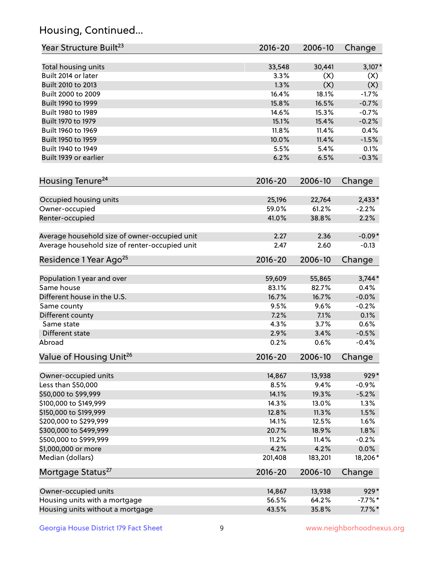## Housing, Continued...

| Year Structure Built <sup>23</sup>             | 2016-20     | 2006-10 | Change    |
|------------------------------------------------|-------------|---------|-----------|
| Total housing units                            | 33,548      | 30,441  | $3,107*$  |
| Built 2014 or later                            | 3.3%        | (X)     | (X)       |
| Built 2010 to 2013                             | 1.3%        | (X)     | (X)       |
| Built 2000 to 2009                             | 16.4%       | 18.1%   | $-1.7%$   |
| Built 1990 to 1999                             | 15.8%       | 16.5%   | $-0.7%$   |
| Built 1980 to 1989                             | 14.6%       | 15.3%   | $-0.7%$   |
| Built 1970 to 1979                             | 15.1%       | 15.4%   | $-0.2%$   |
| Built 1960 to 1969                             | 11.8%       | 11.4%   | 0.4%      |
| Built 1950 to 1959                             | 10.0%       | 11.4%   | $-1.5%$   |
| Built 1940 to 1949                             | 5.5%        | 5.4%    | 0.1%      |
| Built 1939 or earlier                          | 6.2%        | 6.5%    | $-0.3%$   |
| Housing Tenure <sup>24</sup>                   | $2016 - 20$ | 2006-10 | Change    |
|                                                |             |         |           |
| Occupied housing units                         | 25,196      | 22,764  | $2,433*$  |
| Owner-occupied                                 | 59.0%       | 61.2%   | $-2.2%$   |
| Renter-occupied                                | 41.0%       | 38.8%   | 2.2%      |
| Average household size of owner-occupied unit  | 2.27        | 2.36    | $-0.09*$  |
| Average household size of renter-occupied unit | 2.47        | 2.60    | $-0.13$   |
| Residence 1 Year Ago <sup>25</sup>             | $2016 - 20$ | 2006-10 | Change    |
| Population 1 year and over                     | 59,609      | 55,865  | $3,744*$  |
| Same house                                     | 83.1%       | 82.7%   | 0.4%      |
| Different house in the U.S.                    | 16.7%       | 16.7%   | $-0.0%$   |
| Same county                                    | 9.5%        | 9.6%    | $-0.2%$   |
| Different county                               | 7.2%        | 7.1%    | 0.1%      |
| Same state                                     | 4.3%        | 3.7%    | 0.6%      |
| Different state                                | 2.9%        | 3.4%    | $-0.5%$   |
| Abroad                                         | 0.2%        | 0.6%    | $-0.4%$   |
| Value of Housing Unit <sup>26</sup>            | $2016 - 20$ | 2006-10 | Change    |
|                                                |             |         |           |
| Owner-occupied units                           | 14,867      | 13,938  | 929*      |
| Less than \$50,000                             | 8.5%        | 9.4%    | $-0.9%$   |
| \$50,000 to \$99,999                           | 14.1%       | 19.3%   | $-5.2%$   |
| \$100,000 to \$149,999                         | 14.3%       | 13.0%   | 1.3%      |
| \$150,000 to \$199,999                         | 12.8%       | 11.3%   | $1.5\%$   |
| \$200,000 to \$299,999                         | 14.1%       | 12.5%   | 1.6%      |
| \$300,000 to \$499,999                         | 20.7%       | 18.9%   | 1.8%      |
| \$500,000 to \$999,999                         | 11.2%       | 11.4%   | $-0.2%$   |
| \$1,000,000 or more                            | 4.2%        | 4.2%    | 0.0%      |
| Median (dollars)                               | 201,408     | 183,201 | 18,206*   |
| Mortgage Status <sup>27</sup>                  | $2016 - 20$ | 2006-10 | Change    |
| Owner-occupied units                           | 14,867      | 13,938  | 929*      |
| Housing units with a mortgage                  | 56.5%       | 64.2%   | $-7.7%$ * |
| Housing units without a mortgage               | 43.5%       | 35.8%   | $7.7\%$ * |
|                                                |             |         |           |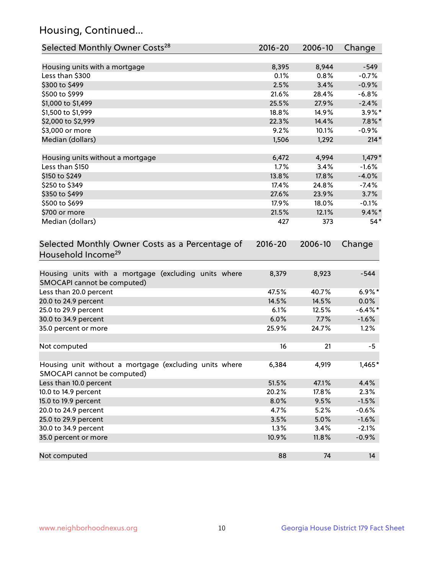## Housing, Continued...

| Selected Monthly Owner Costs <sup>28</sup>                                            | 2016-20     | 2006-10 | Change     |
|---------------------------------------------------------------------------------------|-------------|---------|------------|
| Housing units with a mortgage                                                         | 8,395       | 8,944   | $-549$     |
| Less than \$300                                                                       | 0.1%        | 0.8%    | $-0.7%$    |
| \$300 to \$499                                                                        | 2.5%        | 3.4%    | $-0.9%$    |
| \$500 to \$999                                                                        | 21.6%       | 28.4%   | $-6.8%$    |
| \$1,000 to \$1,499                                                                    | 25.5%       | 27.9%   | $-2.4%$    |
| \$1,500 to \$1,999                                                                    | 18.8%       | 14.9%   | $3.9\%$ *  |
| \$2,000 to \$2,999                                                                    | 22.3%       | 14.4%   | $7.8\%$ *  |
| \$3,000 or more                                                                       | 9.2%        | 10.1%   | $-0.9%$    |
| Median (dollars)                                                                      | 1,506       | 1,292   | $214*$     |
|                                                                                       |             |         |            |
| Housing units without a mortgage                                                      | 6,472       | 4,994   | $1,479*$   |
| Less than \$150                                                                       | 1.7%        | 3.4%    | $-1.6%$    |
| \$150 to \$249                                                                        | 13.8%       | 17.8%   | $-4.0%$    |
| \$250 to \$349                                                                        | 17.4%       | 24.8%   | $-7.4%$    |
| \$350 to \$499                                                                        | 27.6%       | 23.9%   | 3.7%       |
| \$500 to \$699                                                                        | 17.9%       | 18.0%   | $-0.1%$    |
| \$700 or more                                                                         | 21.5%       | 12.1%   | $9.4\%$ *  |
| Median (dollars)                                                                      | 427         | 373     | $54*$      |
| Selected Monthly Owner Costs as a Percentage of<br>Household Income <sup>29</sup>     | $2016 - 20$ | 2006-10 | Change     |
| Housing units with a mortgage (excluding units where<br>SMOCAPI cannot be computed)   | 8,379       | 8,923   | $-544$     |
| Less than 20.0 percent                                                                | 47.5%       | 40.7%   | $6.9\%*$   |
| 20.0 to 24.9 percent                                                                  | 14.5%       | 14.5%   | $0.0\%$    |
| 25.0 to 29.9 percent                                                                  | 6.1%        | 12.5%   | $-6.4\%$ * |
| 30.0 to 34.9 percent                                                                  | 6.0%        | 7.7%    | $-1.6%$    |
| 35.0 percent or more                                                                  | 25.9%       | 24.7%   | 1.2%       |
| Not computed                                                                          | 16          | 21      | -5         |
| Housing unit without a mortgage (excluding units where<br>SMOCAPI cannot be computed) | 6,384       | 4,919   | 1,465*     |
| Less than 10.0 percent                                                                | 51.5%       | 47.1%   | 4.4%       |
| 10.0 to 14.9 percent                                                                  | 20.2%       | 17.8%   | 2.3%       |
| 15.0 to 19.9 percent                                                                  | 8.0%        | 9.5%    | $-1.5%$    |
| 20.0 to 24.9 percent                                                                  | 4.7%        | 5.2%    | $-0.6%$    |
| 25.0 to 29.9 percent                                                                  | 3.5%        | 5.0%    | $-1.6%$    |
| 30.0 to 34.9 percent                                                                  | 1.3%        | 3.4%    | $-2.1%$    |
| 35.0 percent or more                                                                  | 10.9%       | 11.8%   | $-0.9%$    |
| Not computed                                                                          | 88          | 74      | 14         |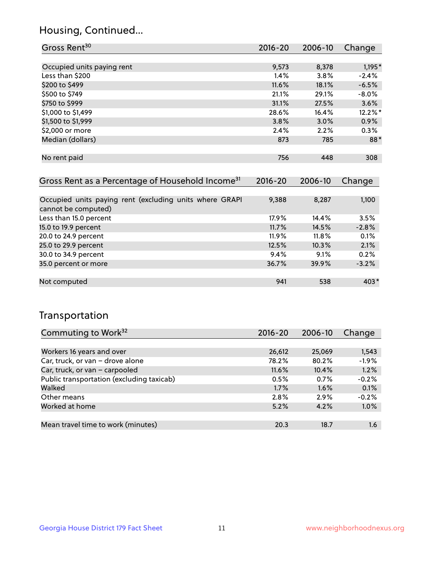## Housing, Continued...

| Gross Rent <sup>30</sup>                                                       | 2016-20     | 2006-10 | Change   |
|--------------------------------------------------------------------------------|-------------|---------|----------|
|                                                                                |             |         |          |
| Occupied units paying rent                                                     | 9,573       | 8,378   | $1,195*$ |
| Less than \$200                                                                | $1.4\%$     | $3.8\%$ | $-2.4%$  |
| \$200 to \$499                                                                 | 11.6%       | 18.1%   | $-6.5%$  |
| \$500 to \$749                                                                 | 21.1%       | 29.1%   | $-8.0\%$ |
| \$750 to \$999                                                                 | 31.1%       | 27.5%   | 3.6%     |
| \$1,000 to \$1,499                                                             | 28.6%       | 16.4%   | 12.2%*   |
| \$1,500 to \$1,999                                                             | 3.8%        | 3.0%    | $0.9\%$  |
| \$2,000 or more                                                                | 2.4%        | 2.2%    | $0.3\%$  |
| Median (dollars)                                                               | 873         | 785     | $88*$    |
|                                                                                |             |         |          |
| No rent paid                                                                   | 756         | 448     | 308      |
|                                                                                |             |         |          |
| Gross Rent as a Percentage of Household Income <sup>31</sup>                   | $2016 - 20$ | 2006-10 | Change   |
|                                                                                |             |         |          |
| Occupied units paying rent (excluding units where GRAPI<br>cannot be computed) | 9,388       | 8,287   | 1,100    |
|                                                                                |             |         |          |

| Less than 15.0 percent | 17.9% | 14.4% | 3.5%    |
|------------------------|-------|-------|---------|
| 15.0 to 19.9 percent   | 11.7% | 14.5% | $-2.8%$ |
| 20.0 to 24.9 percent   | 11.9% | 11.8% | 0.1%    |
| 25.0 to 29.9 percent   | 12.5% | 10.3% | 2.1%    |
| 30.0 to 34.9 percent   | 9.4%  | 9.1%  | 0.2%    |
| 35.0 percent or more   | 36.7% | 39.9% | $-3.2%$ |
|                        |       |       |         |
| Not computed           | 941   | 538   | $403*$  |

## Transportation

| Commuting to Work <sup>32</sup>           | 2016-20 | 2006-10 | Change  |
|-------------------------------------------|---------|---------|---------|
|                                           |         |         |         |
| Workers 16 years and over                 | 26,612  | 25,069  | 1,543   |
| Car, truck, or van - drove alone          | 78.2%   | 80.2%   | $-1.9%$ |
| Car, truck, or van - carpooled            | 11.6%   | 10.4%   | 1.2%    |
| Public transportation (excluding taxicab) | 0.5%    | 0.7%    | $-0.2%$ |
| Walked                                    | 1.7%    | 1.6%    | 0.1%    |
| Other means                               | $2.8\%$ | 2.9%    | $-0.2%$ |
| Worked at home                            | 5.2%    | 4.2%    | 1.0%    |
|                                           |         |         |         |
| Mean travel time to work (minutes)        | 20.3    | 18.7    | 1.6     |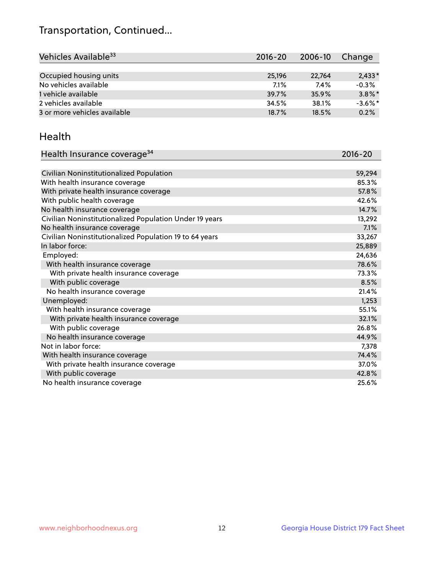## Transportation, Continued...

| Vehicles Available <sup>33</sup> | $2016 - 20$ | $2006 - 10$ | Change     |
|----------------------------------|-------------|-------------|------------|
|                                  |             |             |            |
| Occupied housing units           | 25.196      | 22.764      | $2.433*$   |
| No vehicles available            | 7.1%        | 7.4%        | $-0.3%$    |
| 1 vehicle available              | 39.7%       | 35.9%       | $3.8\%$ *  |
| 2 vehicles available             | 34.5%       | 38.1%       | $-3.6\%$ * |
| 3 or more vehicles available     | 18.7%       | 18.5%       | 0.2%       |

#### Health

| Health Insurance coverage <sup>34</sup>                 | 2016-20 |
|---------------------------------------------------------|---------|
|                                                         |         |
| Civilian Noninstitutionalized Population                | 59,294  |
| With health insurance coverage                          | 85.3%   |
| With private health insurance coverage                  | 57.8%   |
| With public health coverage                             | 42.6%   |
| No health insurance coverage                            | 14.7%   |
| Civilian Noninstitutionalized Population Under 19 years | 13,292  |
| No health insurance coverage                            | 7.1%    |
| Civilian Noninstitutionalized Population 19 to 64 years | 33,267  |
| In labor force:                                         | 25,889  |
| Employed:                                               | 24,636  |
| With health insurance coverage                          | 78.6%   |
| With private health insurance coverage                  | 73.3%   |
| With public coverage                                    | 8.5%    |
| No health insurance coverage                            | 21.4%   |
| Unemployed:                                             | 1,253   |
| With health insurance coverage                          | 55.1%   |
| With private health insurance coverage                  | 32.1%   |
| With public coverage                                    | 26.8%   |
| No health insurance coverage                            | 44.9%   |
| Not in labor force:                                     | 7,378   |
| With health insurance coverage                          | 74.4%   |
| With private health insurance coverage                  | 37.0%   |
| With public coverage                                    | 42.8%   |
| No health insurance coverage                            | 25.6%   |